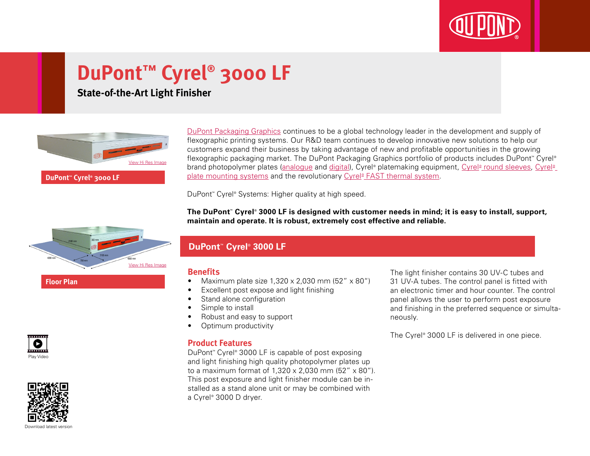

# **DuPont™ Cyrel® 3000 LF**

### **State-of-the-Art Light Finisher**



flexographic printing systems. Our R&D team continues to develop innovative new solutions to help our customers expand their business by taking advantage of new and profitable opportunities in the growing flexographic packaging market. The DuPont Packaging Graphics portfolio of products includes DuPont™ Cyrel® brand photopolymer plates (<u>analogue</u> and <u>digital</u>), Cyrel® platemaking equipment, <u>Cyrel® [round sleeves,](http://www2.dupont.com/Packaging_Graphics/en_GB/products/cyrel_round/index_cyrelround2.html) [Cyrel®](http://www2.dupont.com/Packaging_Graphics/en_GB/products/mounting_systems/index.html)</u> [plate mounting systems](http://www2.dupont.com/Packaging_Graphics/en_GB/products/mounting_systems/index.html) and the revolutionary Cyrel® [FAST thermal system.](http://www2.dupont.com/Packaging_Graphics/en_GB/products/cyrel_fast/cyrelfast_index.html)

[DuPont Packaging Graphics](http://www2.dupont.com/Packaging_Graphics/en_GB/index.html) continues to be a global technology leader in the development and supply of

DuPont™ Cyrel® Systems: Higher quality at high speed.

**The DuPont™ Cyrel® 3000 LF is designed with customer needs in mind; it is easy to install, support, maintain and operate. It is robust, extremely cost effective and reliable.**



**Floor Plan**

**DuPont™ Cyrel® 3000 LF**

#### **Benefits**

- Maximum plate size  $1,320 \times 2,030$  mm (52"  $\times$  80")
- Excellent post expose and light finishing
- Stand alone configuration
- Simple to install
- Robust and easy to support
- Optimum productivity

#### **Product Features**

DuPont™ Cyrel® 3000 LF is capable of post exposing and light finishing high quality photopolymer plates up to a maximum format of 1,320 x 2,030 mm (52" x 80"). This post exposure and light finisher module can be installed as a stand alone unit or may be combined with a Cyrel® 3000 D dryer.

The light finisher contains 30 UV-C tubes and 31 UV-A tubes. The control panel is fitted with an electronic timer and hour counter. The control panel allows the user to perform post exposure and finishing in the preferred sequence or simultaneously.

The Cyrel® 3000 LF is delivered in one piece.





Download latest versio